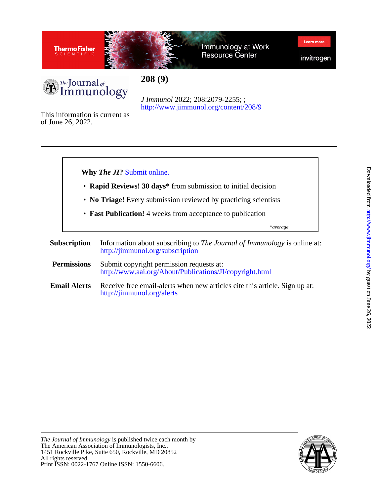

Immunology at Work **Resource Center** 

invitrogen

Learn mor



<http://www.jimmunol.org/content/208/9> *J Immunol* 2022; 208:2079-2255; ;

**208 (9)**

of June 26, 2022. This information is current as



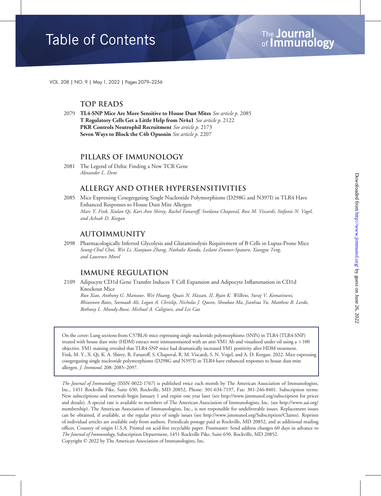# **Table of Contents**

VOL. 208 | NO. 9 | May 1, 2022 | Pages 2079–2256

## Top Reads

2079 TL4-SNP Mice Are More Sensitive to House Dust Mites See article p. 2085 T Regulatory Cells Get a Little Help from Nr4a1 See article p. <sup>2122</sup> PKR Controls Neutrophil Recruitment See article p. 2173 Seven Ways to Block the C4b Opsonin See article p. 2207

## Pillars of Immunology

2081 The Legend of Delta: Finding a New TCR Gene Alexander L. Dent

## Allergy and Other Hypersensitivities

2085 Mice Expressing Cosegregating Single Nucleotide Polymorphisms (D298G and N397I) in TLR4 Have Enhanced Responses to House Dust Mite Allergen Marc Y. Fink, Xiulan Qi, Kari Ann Shirey, Rachel Fanaroff, Svetlana Chapoval, Rose M. Viscardi, Stefanie N. Vogel, and Achsah D. Keegan

## Autoimmunity

2098 Pharmacologically Inferred Glycolysis and Glutaminolysis Requirement of B Cells in Lupus-Prone Mice Seung-Chul Choi, Wei Li, Xiaojuan Zhang, Nathalie Kanda, Leilani Zeumer-Spataro, Xiangyu Teng, and Laurence Morel

## Immune Regulation

2109 Adipocyte CD1d Gene Transfer Induces T Cell Expansion and Adipocyte Inflammation in CD1d Knockout Mice

Run Xiao, Anthony G. Mansour, Wei Huang, Quais N. Hassan, II, Ryan K. Wilkins, Suraj V. Komatineni, Rhiannon Bates, Seemaab Ali, Logan A. Chrislip, Nicholas J. Queen, Shoubao Ma, Jianhua Yu, Matthew R. Lordo, Bethany L. Mundy-Bosse, Michael A. Caligiuri, and Lei Cao

On the cover: Lung sections from C57BL/6 mice expressing single nucleotide polymorphisms (SNPs) in TLR4 (TLR4-SNP) treated with house dust mite (HDM) extract were immunostained with an anti-YM1 Ab and visualized under oil using a  $\times 100$ objective. YM1 staining revealed that TLR4-SNP mice had dramatically increased YM1 positivity after HDM treatment. Fink, M. Y., X. Qi, K. A. Shirey, R. Fanaroff, S. Chapoval, R. M. Viscardi, S. N. Vogel, and A. D. Keegan. 2022. Mice expressing cosegregating single nucleotide polymorphisms (D298G and N397I) in TLR4 have enhanced responses to house dust mite allergen. J. Immunol. 208: 2085–2097.

The Journal of Immunology (ISSN 0022-1767) is published twice each month by The American Association of Immunologists, Inc., 1451 Rockville Pike, Suite 650, Rockville, MD 20852, Phone: 301-634-7197, Fax: 301-246-8401. Subscription terms: New subscriptions and renewals begin January 1 and expire one year later (see http://www.jimmunol.org/subscription for prices and details). A special rate is available to members of The American Association of Immunologists, Inc. (see http://www.aai.org/ membership). The American Association of Immunologists, Inc., is not responsible for undeliverable issues. Replacement issues can be obtained, if available, at the regular price of single issues (see http://www.jimmunol.org/Subscription/Claims). Reprints of individual articles are available only from authors. Periodicals postage paid at Rockville, MD 20852, and at additional mailing offices. Country of origin U.S.A. Printed on acid-free recyclable paper. Postmaster: Send address changes 60 days in advance to The Journal of Immunology, Subscription Department, 1451 Rockville Pike, Suite 650, Rockville, MD 20852.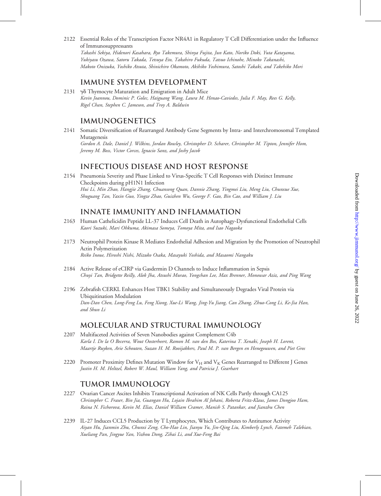2122 Essential Roles of the Transcription Factor NR4A1 in Regulatory T Cell Differentiation under the Influence of Immunosuppressants

Takashi Sekiya, Hidenori Kasahara, Ryo Takemura, Shinya Fujita, Jun Kato, Noriko Doki, Yuta Katayama, Yukiyasu Ozawa, Satoru Takada, Tetsuya Eto, Takahiro Fukuda, Tatsuo Ichinohe, Minoko Takanashi, Makoto Onizuka, Yoshiko Atsuta, Shinichiro Okamoto, Akihiko Yoshimura, Satoshi Takaki, and Takehiko Mori

### Immune System Development

2131  $\gamma\delta$  Thymocyte Maturation and Emigration in Adult Mice Kevin Joannou, Dominic P. Golec, Haiguang Wang, Laura M. Henao-Caviedes, Julia F. May, Rees G. Kelly, Rigel Chan, Stephen C. Jameson, and Troy A. Baldwin

### **IMMUNOGENETICS**

2141 Somatic Diversification of Rearranged Antibody Gene Segments by Intra- and Interchromosomal Templated Mutagenesis Gordon A. Dale, Daniel J. Wilkins, Jordan Rowley, Christopher D. Scharer, Christopher M. Tipton, Jennifer Hom, Jeremy M. Boss, Victor Corces, Ignacio Sanz, and Joshy Jacob

### Infectious Disease and Host Response

2154 Pneumonia Severity and Phase Linked to Virus-Specific T Cell Responses with Distinct Immune Checkpoints during pH1N1 Infection Hui Li, Min Zhao, Hangjie Zhang, Chuansong Quan, Dannie Zhang, Yingmei Liu, Meng Liu, Chunxue Xue, Shuguang Tan, Yaxin Guo, Yingze Zhao, Guizhen Wu, George F. Gao, Bin Cao, and William J. Liu

### Innate Immunity and Inflammation

- 2163 Human Cathelicidin Peptide LL-37 Induces Cell Death in Autophagy-Dysfunctional Endothelial Cells Kaori Suzuki, Mari Ohkuma, Akimasa Someya, Tomoya Mita, and Isao Nagaoka
- 2173 Neutrophil Protein Kinase R Mediates Endothelial Adhesion and Migration by the Promotion of Neutrophil Actin Polymerization Reiko Inoue, Hiroshi Nishi, Mizuko Osaka, Masayuki Yoshida, and Masaomi Nangaku
- 2184 Active Release of eCIRP via Gasdermin D Channels to Induce Inflammation in Sepsis Chuyi Tan, Bridgette Reilly, Alok Jha, Atsushi Murao, Yongchan Lee, Max Brenner, Monowar Aziz, and Ping Wang
- 2196 Zebrafish CERKL Enhances Host TBK1 Stability and Simultaneously Degrades Viral Protein via Ubiquitination Modulation Dan-Dan Chen, Long-Feng Lu, Feng Xiong, Xue-Li Wang, Jing-Yu Jiang, Can Zhang, Zhuo-Cong Li, Ke-Jia Han, and Shun Li

### Molecular and Structural Immunology

- 2207 Multifaceted Activities of Seven Nanobodies against Complement C4b Karla I. De la O Becerra, Wout Oosterheert, Ramon M. van den Bos, Katerina T. Xenaki, Joseph H. Lorent, Maartje Ruyken, Arie Schouten, Suzan H. M. Rooijakkers, Paul M. P. van Bergen en Henegouwen, and Piet Gros
- 2220 Promoter Proximity Defines Mutation Window for  $V_H$  and  $V_K$  Genes Rearranged to Different J Genes Justin H. M. Heltzel, Robert W. Maul, William Yang, and Patricia J. Gearhart

#### Tumor Immunology

- 2227 Ovarian Cancer Ascites Inhibits Transcriptional Activation of NK Cells Partly through CA125 Christopher C. Fraser, Bin Jia, Guangan Hu, Lojain Ibrahim Al Johani, Roberta Fritz-Klaus, James Dongjoo Ham, Raina N. Fichorova, Kevin M. Elias, Daniel William Cramer, Manish S. Patankar, and Jianzhu Chen
- 2239 IL-27 Induces CCL5 Production by T Lymphocytes, Which Contributes to Antitumor Activity Aiyan Hu, Jianmin Zhu, Chunxi Zeng, Cho-Hao Lin, Jianyu Yu, Jin-Qing Liu, Kimberly Lynch, Fatemeh Talebian, Xueliang Pan, Jingyue Yan, Yizhou Dong, Zihai Li, and Xue-Feng Bai